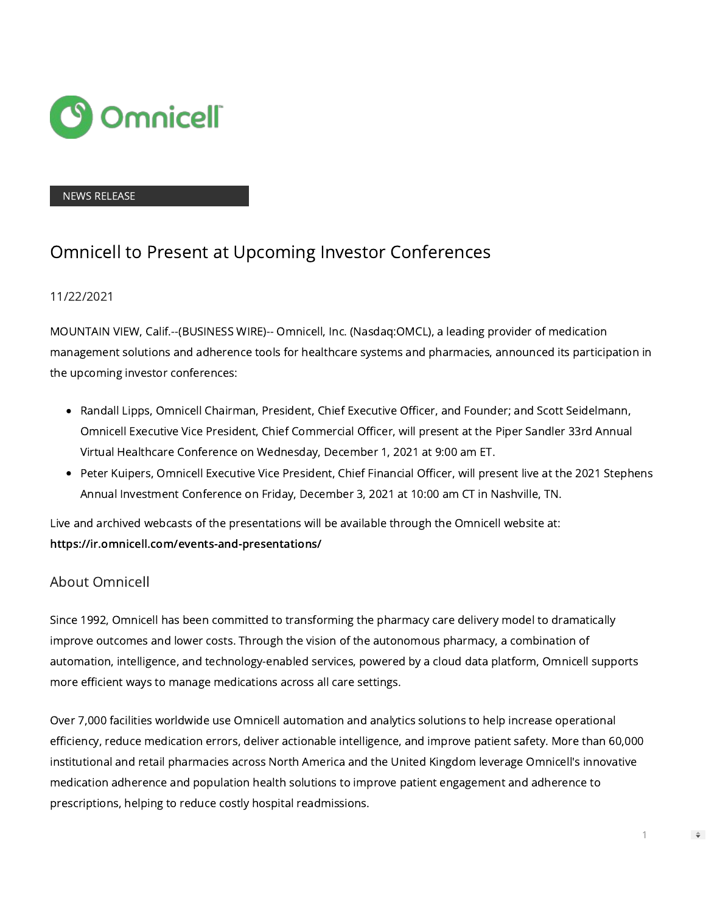

## NEWS RELEASE

## Omnicell to Present at Upcoming Investor Conferences

## 11/22/2021

MOUNTAIN VIEW, Calif.--(BUSINESS WIRE)-- Omnicell, Inc. (Nasdaq:OMCL), a leading provider of medication management solutions and adherence tools for healthcare systems and pharmacies, announced its participation in the upcoming investor conferences:

- Randall Lipps, Omnicell Chairman, President, Chief Executive Officer, and Founder; and Scott Seidelmann, Omnicell Executive Vice President, Chief Commercial Officer, will present at the Piper Sandler 33rd Annual Virtual Healthcare Conference on Wednesday, December 1, 2021 at 9:00 am ET.
- Peter Kuipers, Omnicell Executive Vice President, Chief Financial Officer, will present live at the 2021 Stephens Annual Investment Conference on Friday, December 3, 2021 at 10:00 am CT in Nashville, TN.

Live and archived webcasts of the presentations will be available through the Omnicell website at: [https://ir.omnicell.com/events-and-presentations/](https://cts.businesswire.com/ct/CT?id=smartlink&url=https%3A%2F%2Fir.omnicell.com%2Fevents-and-presentations%2F&esheet=52537987&newsitemid=20211122006606&lan=en-US&anchor=https%3A%2F%2Fir.omnicell.com%2Fevents-and-presentations%2F&index=1&md5=2fe74eff6b6fe4c8d6ec971fa486330f)

## About Omnicell

Since 1992, Omnicell has been committed to transforming the pharmacy care delivery model to dramatically improve outcomes and lower costs. Through the vision of the autonomous pharmacy, a combination of automation, intelligence, and technology-enabled services, powered by a cloud data platform, Omnicell supports more efficient ways to manage medications across all care settings.

Over 7,000 facilities worldwide use Omnicell automation and analytics solutions to help increase operational efficiency, reduce medication errors, deliver actionable intelligence, and improve patient safety. More than 60,000 institutional and retail pharmacies across North America and the United Kingdom leverage Omnicell's innovative medication adherence and population health solutions to improve patient engagement and adherence to prescriptions, helping to reduce costly hospital readmissions.

1

 $\Rightarrow$